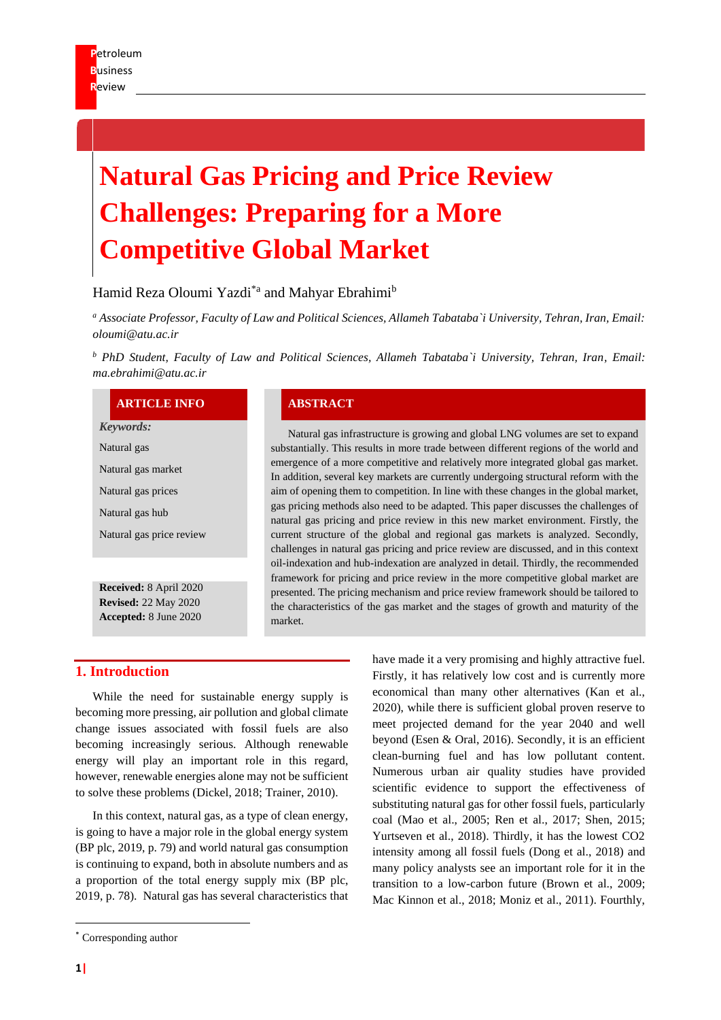# **Natural Gas Pricing and Price Review Challenges: Preparing for a More Competitive Global Market**

## Hamid Reza Oloumi Yazdi<sup>\*a</sup> and Mahyar Ebrahimi<sup>b</sup>

*<sup>a</sup> Associate Professor, Faculty of Law and Political Sciences, Allameh Tabataba`i University, Tehran, Iran, Email: oloumi@atu.ac.ir* 

*<sup>b</sup> PhD Student, Faculty of Law and Political Sciences, Allameh Tabataba`i University, Tehran, Iran, Email: ma.ebrahimi@atu.ac.ir*

#### **ARTICLE INFO ABSTRACT**

*Keywords:*

Natural gas

Natural gas market

Natural gas prices

Natural gas hub

Natural gas price review

**Received:** 8 April 2020 **Revised:** 22 May 2020 **Accepted:** 8 June 2020

Natural gas infrastructure is growing and global LNG volumes are set to expand substantially. This results in more trade between different regions of the world and emergence of a more competitive and relatively more integrated global gas market. In addition, several key markets are currently undergoing structural reform with the aim of opening them to competition. In line with these changes in the global market, gas pricing methods also need to be adapted. This paper discusses the challenges of natural gas pricing and price review in this new market environment. Firstly, the current structure of the global and regional gas markets is analyzed. Secondly, challenges in natural gas pricing and price review are discussed, and in this context oil-indexation and hub-indexation are analyzed in detail. Thirdly, the recommended framework for pricing and price review in the more competitive global market are presented. The pricing mechanism and price review framework should be tailored to the characteristics of the gas market and the stages of growth and maturity of the market.

## **1. Introduction**

While the need for sustainable energy supply is becoming more pressing, air pollution and global climate change issues associated with fossil fuels are also becoming increasingly serious. Although renewable energy will play an important role in this regard, however, renewable energies alone may not be sufficient to solve these problems (Dickel, 2018; Trainer, 2010).

In this context, natural gas, as a type of clean energy, is going to have a major role in the global energy system (BP plc, 2019, p. 79) and world natural gas consumption is continuing to expand, both in absolute numbers and as a proportion of the total energy supply mix (BP plc, 2019, p. 78). Natural gas has several characteristics that have made it a very promising and highly attractive fuel. Firstly, it has relatively low cost and is currently more economical than many other alternatives (Kan et al., 2020), while there is sufficient global proven reserve to meet projected demand for the year 2040 and well beyond (Esen & Oral, 2016). Secondly, it is an efficient clean-burning fuel and has low pollutant content. Numerous urban air quality studies have provided scientific evidence to support the effectiveness of substituting natural gas for other fossil fuels, particularly coal (Mao et al., 2005; Ren et al., 2017; Shen, 2015; Yurtseven et al., 2018). Thirdly, it has the lowest CO2 intensity among all fossil fuels (Dong et al., 2018) and many policy analysts see an important role for it in the transition to a low-carbon future (Brown et al., 2009; Mac Kinnon et al., 2018; Moniz et al., 2011). Fourthly,

<sup>\*</sup> Corresponding author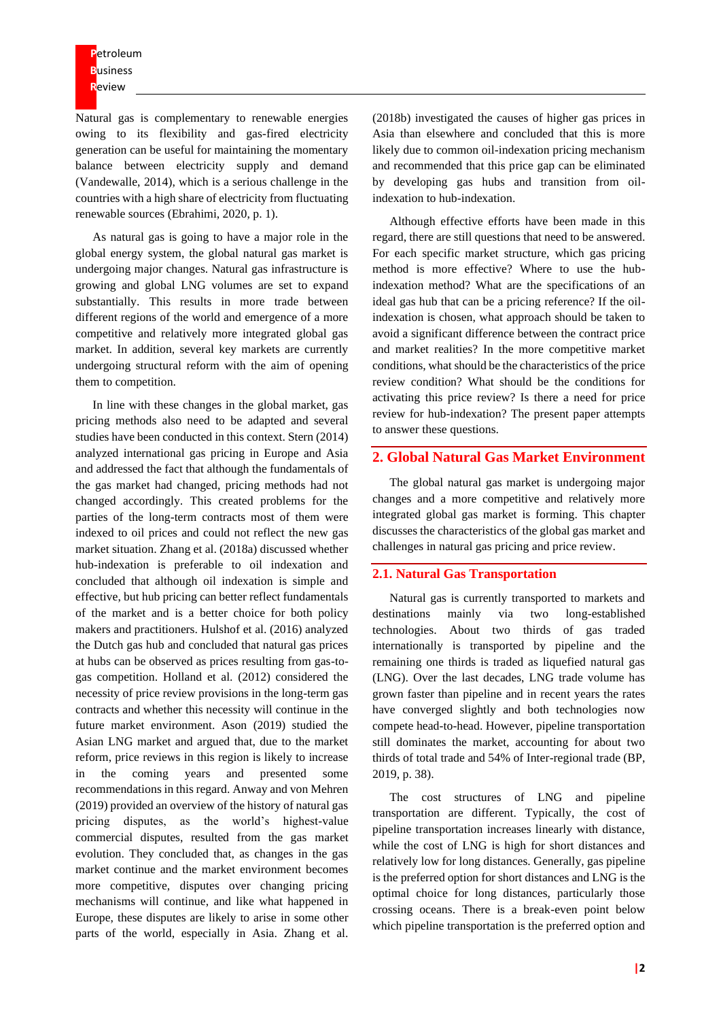**P**etroleum **B**usiness **R**eview

Natural gas is complementary to renewable energies owing to its flexibility and gas-fired electricity generation can be useful for maintaining the momentary balance between electricity supply and demand (Vandewalle, 2014), which is a serious challenge in the countries with a high share of electricity from fluctuating renewable sources (Ebrahimi, 2020, p. 1).

As natural gas is going to have a major role in the global energy system, the global natural gas market is undergoing major changes. Natural gas infrastructure is growing and global LNG volumes are set to expand substantially. This results in more trade between different regions of the world and emergence of a more competitive and relatively more integrated global gas market. In addition, several key markets are currently undergoing structural reform with the aim of opening them to competition.

In line with these changes in the global market, gas pricing methods also need to be adapted and several studies have been conducted in this context. Stern (2014) analyzed international gas pricing in Europe and Asia and addressed the fact that although the fundamentals of the gas market had changed, pricing methods had not changed accordingly. This created problems for the parties of the long-term contracts most of them were indexed to oil prices and could not reflect the new gas market situation. Zhang et al. (2018a) discussed whether hub-indexation is preferable to oil indexation and concluded that although oil indexation is simple and effective, but hub pricing can better reflect fundamentals of the market and is a better choice for both policy makers and practitioners. Hulshof et al. (2016) analyzed the Dutch gas hub and concluded that natural gas prices at hubs can be observed as prices resulting from gas-togas competition. Holland et al. (2012) considered the necessity of price review provisions in the long-term gas contracts and whether this necessity will continue in the future market environment. Ason (2019) studied the Asian LNG market and argued that, due to the market reform, price reviews in this region is likely to increase in the coming years and presented some recommendations in this regard. Anway and von Mehren (2019) provided an overview of the history of natural gas pricing disputes, as the world's highest-value commercial disputes, resulted from the gas market evolution. They concluded that, as changes in the gas market continue and the market environment becomes more competitive, disputes over changing pricing mechanisms will continue, and like what happened in Europe, these disputes are likely to arise in some other parts of the world, especially in Asia. Zhang et al.

(2018b) investigated the causes of higher gas prices in Asia than elsewhere and concluded that this is more likely due to common oil-indexation pricing mechanism and recommended that this price gap can be eliminated by developing gas hubs and transition from oilindexation to hub-indexation.

Although effective efforts have been made in this regard, there are still questions that need to be answered. For each specific market structure, which gas pricing method is more effective? Where to use the hubindexation method? What are the specifications of an ideal gas hub that can be a pricing reference? If the oilindexation is chosen, what approach should be taken to avoid a significant difference between the contract price and market realities? In the more competitive market conditions, what should be the characteristics of the price review condition? What should be the conditions for activating this price review? Is there a need for price review for hub-indexation? The present paper attempts to answer these questions.

### **2. Global Natural Gas Market Environment**

The global natural gas market is undergoing major changes and a more competitive and relatively more integrated global gas market is forming. This chapter discusses the characteristics of the global gas market and challenges in natural gas pricing and price review.

#### **2.1. Natural Gas Transportation**

Natural gas is currently transported to markets and destinations mainly via two long-established technologies. About two thirds of gas traded internationally is transported by pipeline and the remaining one thirds is traded as liquefied natural gas (LNG). Over the last decades, LNG trade volume has grown faster than pipeline and in recent years the rates have converged slightly and both technologies now compete head-to-head. However, pipeline transportation still dominates the market, accounting for about two thirds of total trade and 54% of Inter-regional trade (BP, 2019, p. 38).

The cost structures of LNG and pipeline transportation are different. Typically, the cost of pipeline transportation increases linearly with distance, while the cost of LNG is high for short distances and relatively low for long distances. Generally, gas pipeline is the preferred option for short distances and LNG is the optimal choice for long distances, particularly those crossing oceans. There is a break-even point below which pipeline transportation is the preferred option and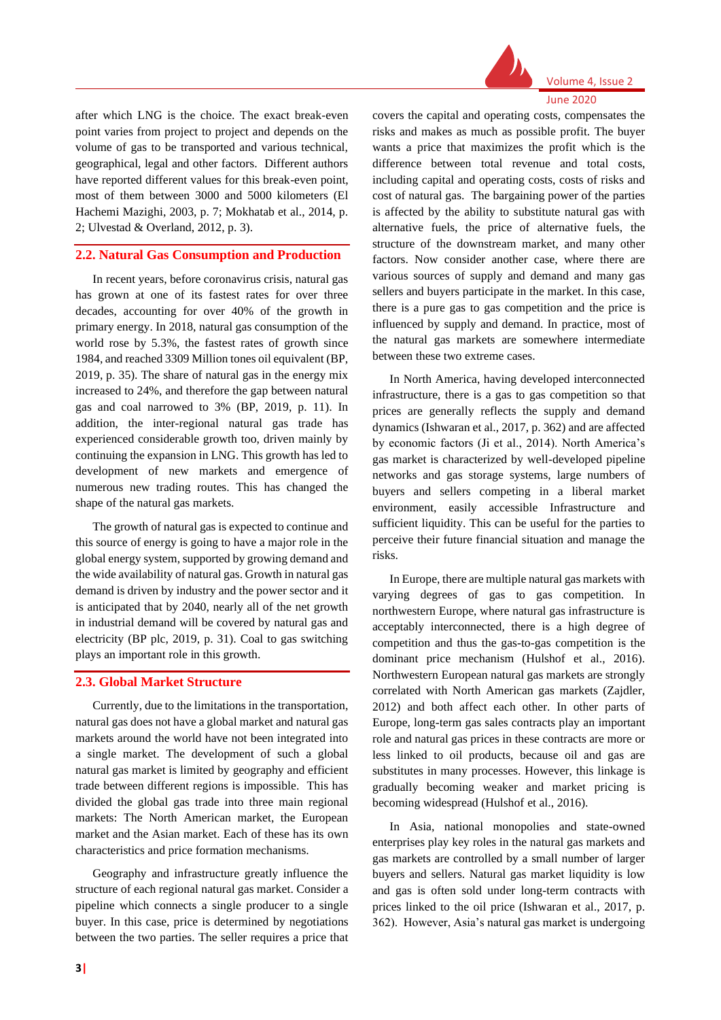

June 2020

after which LNG is the choice. The exact break-even point varies from project to project and depends on the volume of gas to be transported and various technical, geographical, legal and other factors. Different authors have reported different values for this break-even point, most of them between 3000 and 5000 kilometers (El Hachemi Mazighi, 2003, p. 7; Mokhatab et al., 2014, p. 2; Ulvestad & Overland, 2012, p. 3).

#### **2.2. Natural Gas Consumption and Production**

In recent years, before coronavirus crisis, natural gas has grown at one of its fastest rates for over three decades, accounting for over 40% of the growth in primary energy. In 2018, natural gas consumption of the world rose by 5.3%, the fastest rates of growth since 1984, and reached 3309 Million tones oil equivalent (BP, 2019, p. 35). The share of natural gas in the energy mix increased to 24%, and therefore the gap between natural gas and coal narrowed to 3% (BP, 2019, p. 11). In addition, the inter-regional natural gas trade has experienced considerable growth too, driven mainly by continuing the expansion in LNG. This growth has led to development of new markets and emergence of numerous new trading routes. This has changed the shape of the natural gas markets.

The growth of natural gas is expected to continue and this source of energy is going to have a major role in the global energy system, supported by growing demand and the wide availability of natural gas. Growth in natural gas demand is driven by industry and the power sector and it is anticipated that by 2040, nearly all of the net growth in industrial demand will be covered by natural gas and electricity (BP plc, 2019, p. 31). Coal to gas switching plays an important role in this growth.

## **2.3. Global Market Structure**

Currently, due to the limitations in the transportation, natural gas does not have a global market and natural gas markets around the world have not been integrated into a single market. The development of such a global natural gas market is limited by geography and efficient trade between different regions is impossible. This has divided the global gas trade into three main regional markets: The North American market, the European market and the Asian market. Each of these has its own characteristics and price formation mechanisms.

Geography and infrastructure greatly influence the structure of each regional natural gas market. Consider a pipeline which connects a single producer to a single buyer. In this case, price is determined by negotiations between the two parties. The seller requires a price that

covers the capital and operating costs, compensates the risks and makes as much as possible profit. The buyer wants a price that maximizes the profit which is the difference between total revenue and total costs, including capital and operating costs, costs of risks and cost of natural gas. The bargaining power of the parties is affected by the ability to substitute natural gas with alternative fuels, the price of alternative fuels, the structure of the downstream market, and many other factors. Now consider another case, where there are various sources of supply and demand and many gas sellers and buyers participate in the market. In this case, there is a pure gas to gas competition and the price is influenced by supply and demand. In practice, most of the natural gas markets are somewhere intermediate between these two extreme cases.

In North America, having developed interconnected infrastructure, there is a gas to gas competition so that prices are generally reflects the supply and demand dynamics (Ishwaran et al., 2017, p. 362) and are affected by economic factors (Ji et al., 2014). North America's gas market is characterized by well-developed pipeline networks and gas storage systems, large numbers of buyers and sellers competing in a liberal market environment, easily accessible Infrastructure and sufficient liquidity. This can be useful for the parties to perceive their future financial situation and manage the risks.

In Europe, there are multiple natural gas markets with varying degrees of gas to gas competition. In northwestern Europe, where natural gas infrastructure is acceptably interconnected, there is a high degree of competition and thus the gas-to-gas competition is the dominant price mechanism (Hulshof et al., 2016). Northwestern European natural gas markets are strongly correlated with North American gas markets (Zajdler, 2012) and both affect each other. In other parts of Europe, long-term gas sales contracts play an important role and natural gas prices in these contracts are more or less linked to oil products, because oil and gas are substitutes in many processes. However, this linkage is gradually becoming weaker and market pricing is becoming widespread (Hulshof et al., 2016).

In Asia, national monopolies and state-owned enterprises play key roles in the natural gas markets and gas markets are controlled by a small number of larger buyers and sellers. Natural gas market liquidity is low and gas is often sold under long-term contracts with prices linked to the oil price (Ishwaran et al., 2017, p. 362). However, Asia's natural gas market is undergoing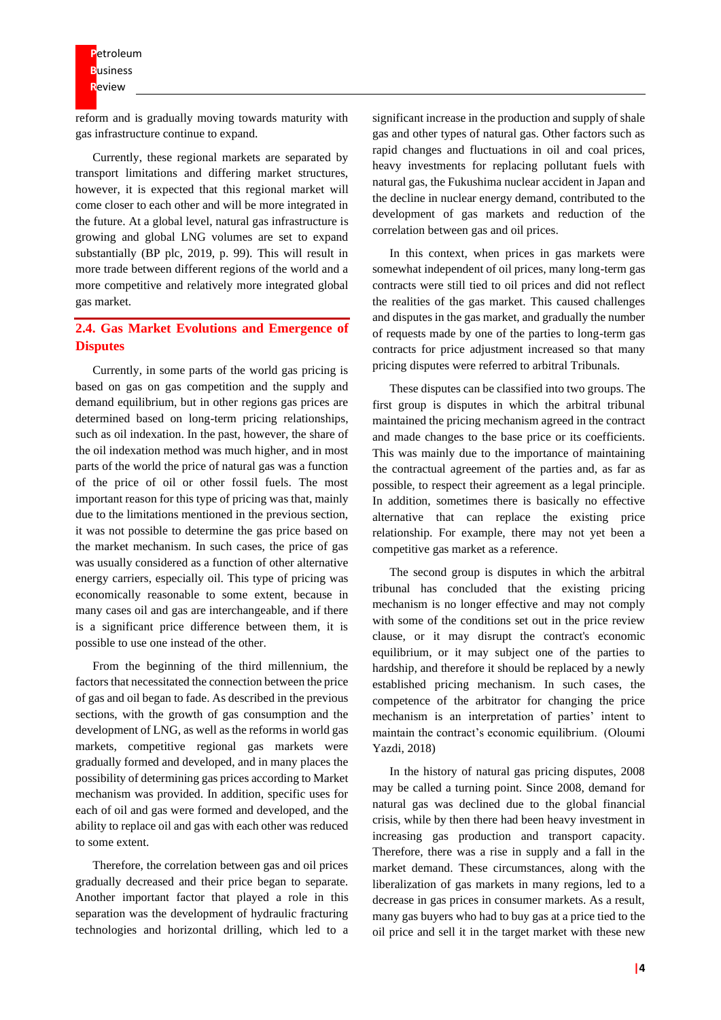reform and is gradually moving towards maturity with gas infrastructure continue to expand.

Currently, these regional markets are separated by transport limitations and differing market structures, however, it is expected that this regional market will come closer to each other and will be more integrated in the future. At a global level, natural gas infrastructure is growing and global LNG volumes are set to expand substantially (BP plc, 2019, p. 99). This will result in more trade between different regions of the world and a more competitive and relatively more integrated global gas market.

## **2.4. Gas Market Evolutions and Emergence of Disputes**

Currently, in some parts of the world gas pricing is based on gas on gas competition and the supply and demand equilibrium, but in other regions gas prices are determined based on long-term pricing relationships, such as oil indexation. In the past, however, the share of the oil indexation method was much higher, and in most parts of the world the price of natural gas was a function of the price of oil or other fossil fuels. The most important reason for this type of pricing was that, mainly due to the limitations mentioned in the previous section, it was not possible to determine the gas price based on the market mechanism. In such cases, the price of gas was usually considered as a function of other alternative energy carriers, especially oil. This type of pricing was economically reasonable to some extent, because in many cases oil and gas are interchangeable, and if there is a significant price difference between them, it is possible to use one instead of the other.

From the beginning of the third millennium, the factors that necessitated the connection between the price of gas and oil began to fade. As described in the previous sections, with the growth of gas consumption and the development of LNG, as well as the reforms in world gas markets, competitive regional gas markets were gradually formed and developed, and in many places the possibility of determining gas prices according to Market mechanism was provided. In addition, specific uses for each of oil and gas were formed and developed, and the ability to replace oil and gas with each other was reduced to some extent.

Therefore, the correlation between gas and oil prices gradually decreased and their price began to separate. Another important factor that played a role in this separation was the development of hydraulic fracturing technologies and horizontal drilling, which led to a significant increase in the production and supply of shale gas and other types of natural gas. Other factors such as rapid changes and fluctuations in oil and coal prices, heavy investments for replacing pollutant fuels with natural gas, the Fukushima nuclear accident in Japan and the decline in nuclear energy demand, contributed to the development of gas markets and reduction of the correlation between gas and oil prices.

In this context, when prices in gas markets were somewhat independent of oil prices, many long-term gas contracts were still tied to oil prices and did not reflect the realities of the gas market. This caused challenges and disputes in the gas market, and gradually the number of requests made by one of the parties to long-term gas contracts for price adjustment increased so that many pricing disputes were referred to arbitral Tribunals.

These disputes can be classified into two groups. The first group is disputes in which the arbitral tribunal maintained the pricing mechanism agreed in the contract and made changes to the base price or its coefficients. This was mainly due to the importance of maintaining the contractual agreement of the parties and, as far as possible, to respect their agreement as a legal principle. In addition, sometimes there is basically no effective alternative that can replace the existing price relationship. For example, there may not yet been a competitive gas market as a reference.

The second group is disputes in which the arbitral tribunal has concluded that the existing pricing mechanism is no longer effective and may not comply with some of the conditions set out in the price review clause, or it may disrupt the contract's economic equilibrium, or it may subject one of the parties to hardship, and therefore it should be replaced by a newly established pricing mechanism. In such cases, the competence of the arbitrator for changing the price mechanism is an interpretation of parties' intent to maintain the contract's economic equilibrium. (Oloumi Yazdi, 2018)

In the history of natural gas pricing disputes, 2008 may be called a turning point. Since 2008, demand for natural gas was declined due to the global financial crisis, while by then there had been heavy investment in increasing gas production and transport capacity. Therefore, there was a rise in supply and a fall in the market demand. These circumstances, along with the liberalization of gas markets in many regions, led to a decrease in gas prices in consumer markets. As a result, many gas buyers who had to buy gas at a price tied to the oil price and sell it in the target market with these new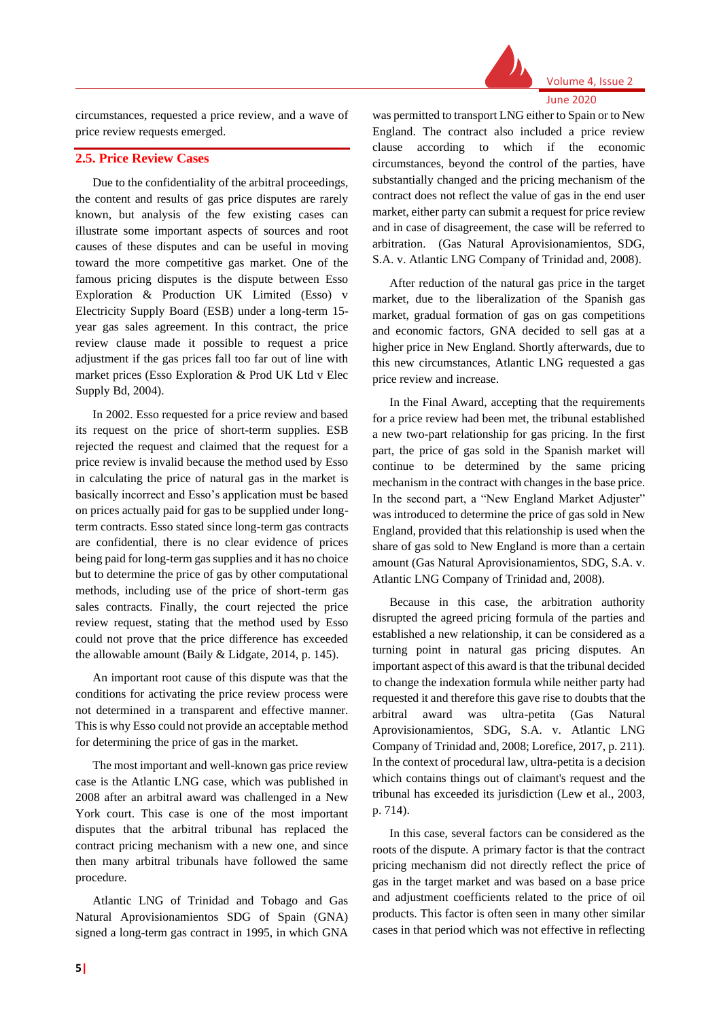

June 2020

circumstances, requested a price review, and a wave of price review requests emerged.

#### **2.5. Price Review Cases**

Due to the confidentiality of the arbitral proceedings, the content and results of gas price disputes are rarely known, but analysis of the few existing cases can illustrate some important aspects of sources and root causes of these disputes and can be useful in moving toward the more competitive gas market. One of the famous pricing disputes is the dispute between Esso Exploration & Production UK Limited (Esso) v Electricity Supply Board (ESB) under a long-term 15 year gas sales agreement. In this contract, the price review clause made it possible to request a price adjustment if the gas prices fall too far out of line with market prices (Esso Exploration & Prod UK Ltd v Elec Supply Bd, 2004).

In 2002. Esso requested for a price review and based its request on the price of short-term supplies. ESB rejected the request and claimed that the request for a price review is invalid because the method used by Esso in calculating the price of natural gas in the market is basically incorrect and Esso's application must be based on prices actually paid for gas to be supplied under longterm contracts. Esso stated since long-term gas contracts are confidential, there is no clear evidence of prices being paid for long-term gas supplies and it has no choice but to determine the price of gas by other computational methods, including use of the price of short-term gas sales contracts. Finally, the court rejected the price review request, stating that the method used by Esso could not prove that the price difference has exceeded the allowable amount (Baily & Lidgate, 2014, p. 145).

An important root cause of this dispute was that the conditions for activating the price review process were not determined in a transparent and effective manner. This is why Esso could not provide an acceptable method for determining the price of gas in the market.

The most important and well-known gas price review case is the Atlantic LNG case, which was published in 2008 after an arbitral award was challenged in a New York court. This case is one of the most important disputes that the arbitral tribunal has replaced the contract pricing mechanism with a new one, and since then many arbitral tribunals have followed the same procedure.

Atlantic LNG of Trinidad and Tobago and Gas Natural Aprovisionamientos SDG of Spain (GNA) signed a long-term gas contract in 1995, in which GNA

was permitted to transport LNG either to Spain or to New England. The contract also included a price review clause according to which if the economic circumstances, beyond the control of the parties, have substantially changed and the pricing mechanism of the contract does not reflect the value of gas in the end user market, either party can submit a request for price review and in case of disagreement, the case will be referred to arbitration. (Gas Natural Aprovisionamientos, SDG, S.A. v. Atlantic LNG Company of Trinidad and, 2008).

After reduction of the natural gas price in the target market, due to the liberalization of the Spanish gas market, gradual formation of gas on gas competitions and economic factors, GNA decided to sell gas at a higher price in New England. Shortly afterwards, due to this new circumstances, Atlantic LNG requested a gas price review and increase.

In the Final Award, accepting that the requirements for a price review had been met, the tribunal established a new two-part relationship for gas pricing. In the first part, the price of gas sold in the Spanish market will continue to be determined by the same pricing mechanism in the contract with changes in the base price. In the second part, a "New England Market Adjuster" was introduced to determine the price of gas sold in New England, provided that this relationship is used when the share of gas sold to New England is more than a certain amount (Gas Natural Aprovisionamientos, SDG, S.A. v. Atlantic LNG Company of Trinidad and, 2008).

Because in this case, the arbitration authority disrupted the agreed pricing formula of the parties and established a new relationship, it can be considered as a turning point in natural gas pricing disputes. An important aspect of this award is that the tribunal decided to change the indexation formula while neither party had requested it and therefore this gave rise to doubts that the arbitral award was ultra-petita (Gas Natural Aprovisionamientos, SDG, S.A. v. Atlantic LNG Company of Trinidad and, 2008; Lorefice, 2017, p. 211). In the context of procedural law, ultra-petita is a decision which contains things out of claimant's request and the tribunal has exceeded its jurisdiction (Lew et al., 2003, p. 714).

In this case, several factors can be considered as the roots of the dispute. A primary factor is that the contract pricing mechanism did not directly reflect the price of gas in the target market and was based on a base price and adjustment coefficients related to the price of oil products. This factor is often seen in many other similar cases in that period which was not effective in reflecting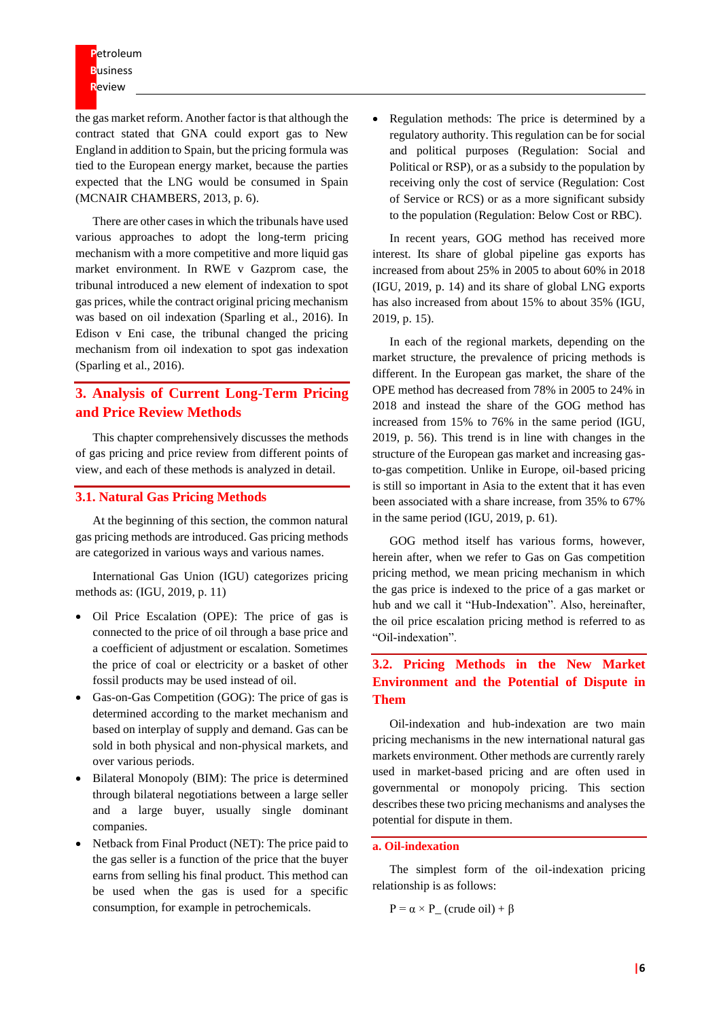**P**etroleum **B**usiness **R**eview

the gas market reform. Another factor is that although the contract stated that GNA could export gas to New England in addition to Spain, but the pricing formula was tied to the European energy market, because the parties expected that the LNG would be consumed in Spain (MCNAIR CHAMBERS, 2013, p. 6).

There are other cases in which the tribunals have used various approaches to adopt the long-term pricing mechanism with a more competitive and more liquid gas market environment. In RWE v Gazprom case, the tribunal introduced a new element of indexation to spot gas prices, while the contract original pricing mechanism was based on oil indexation (Sparling et al., 2016). In Edison v Eni case, the tribunal changed the pricing mechanism from oil indexation to spot gas indexation (Sparling et al., 2016).

## **3. Analysis of Current Long-Term Pricing and Price Review Methods**

This chapter comprehensively discusses the methods of gas pricing and price review from different points of view, and each of these methods is analyzed in detail.

### **3.1. Natural Gas Pricing Methods**

At the beginning of this section, the common natural gas pricing methods are introduced. Gas pricing methods are categorized in various ways and various names.

International Gas Union (IGU) categorizes pricing methods as: (IGU, 2019, p. 11)

- Oil Price Escalation (OPE): The price of gas is connected to the price of oil through a base price and a coefficient of adjustment or escalation. Sometimes the price of coal or electricity or a basket of other fossil products may be used instead of oil.
- Gas-on-Gas Competition (GOG): The price of gas is determined according to the market mechanism and based on interplay of supply and demand. Gas can be sold in both physical and non-physical markets, and over various periods.
- Bilateral Monopoly (BIM): The price is determined through bilateral negotiations between a large seller and a large buyer, usually single dominant companies.
- Netback from Final Product (NET): The price paid to the gas seller is a function of the price that the buyer earns from selling his final product. This method can be used when the gas is used for a specific consumption, for example in petrochemicals.

• Regulation methods: The price is determined by a regulatory authority. This regulation can be for social and political purposes (Regulation: Social and Political or RSP), or as a subsidy to the population by receiving only the cost of service (Regulation: Cost of Service or RCS) or as a more significant subsidy to the population (Regulation: Below Cost or RBC).

In recent years, GOG method has received more interest. Its share of global pipeline gas exports has increased from about 25% in 2005 to about 60% in 2018 (IGU, 2019, p. 14) and its share of global LNG exports has also increased from about 15% to about 35% (IGU, 2019, p. 15).

In each of the regional markets, depending on the market structure, the prevalence of pricing methods is different. In the European gas market, the share of the OPE method has decreased from 78% in 2005 to 24% in 2018 and instead the share of the GOG method has increased from 15% to 76% in the same period (IGU, 2019, p. 56). This trend is in line with changes in the structure of the European gas market and increasing gasto-gas competition. Unlike in Europe, oil-based pricing is still so important in Asia to the extent that it has even been associated with a share increase, from 35% to 67% in the same period (IGU, 2019, p. 61).

GOG method itself has various forms, however, herein after, when we refer to Gas on Gas competition pricing method, we mean pricing mechanism in which the gas price is indexed to the price of a gas market or hub and we call it "Hub-Indexation". Also, hereinafter, the oil price escalation pricing method is referred to as "Oil-indexation".

## **3.2. Pricing Methods in the New Market Environment and the Potential of Dispute in Them**

Oil-indexation and hub-indexation are two main pricing mechanisms in the new international natural gas markets environment. Other methods are currently rarely used in market-based pricing and are often used in governmental or monopoly pricing. This section describes these two pricing mechanisms and analyses the potential for dispute in them.

#### **a. Oil-indexation**

The simplest form of the oil-indexation pricing relationship is as follows:

 $P = \alpha \times P$  (crude oil) +  $\beta$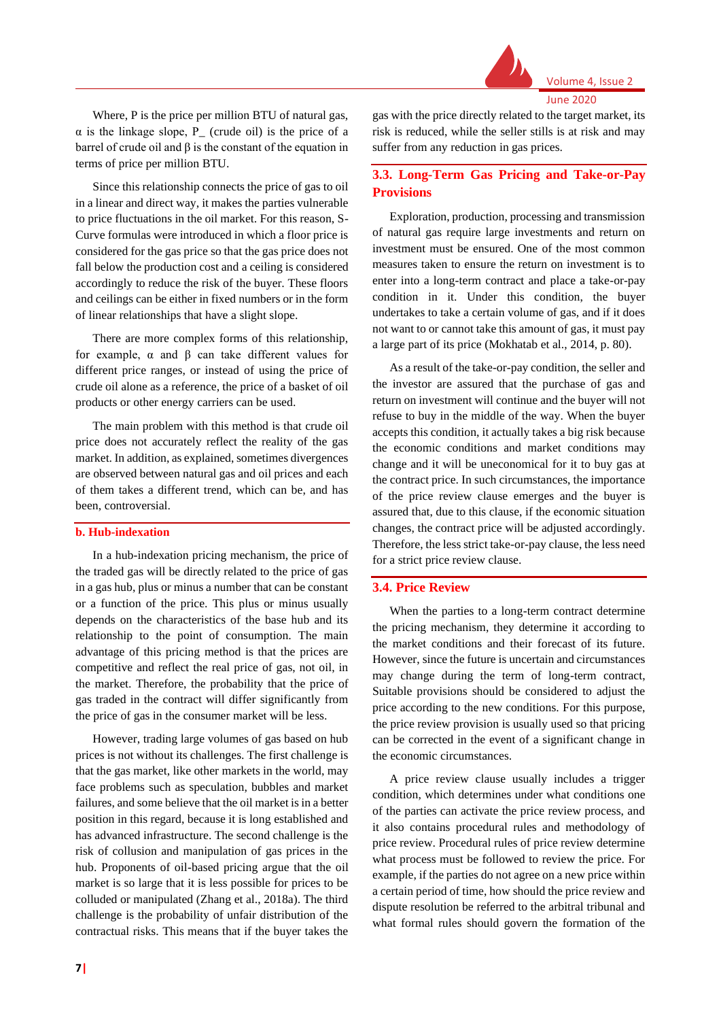

June 2020

Where, P is the price per million BTU of natural gas,  $\alpha$  is the linkage slope, P<sub>\_</sub> (crude oil) is the price of a barrel of crude oil and β is the constant of the equation in terms of price per million BTU.

Since this relationship connects the price of gas to oil in a linear and direct way, it makes the parties vulnerable to price fluctuations in the oil market. For this reason, S-Curve formulas were introduced in which a floor price is considered for the gas price so that the gas price does not fall below the production cost and a ceiling is considered accordingly to reduce the risk of the buyer. These floors and ceilings can be either in fixed numbers or in the form of linear relationships that have a slight slope.

There are more complex forms of this relationship, for example, α and β can take different values for different price ranges, or instead of using the price of crude oil alone as a reference, the price of a basket of oil products or other energy carriers can be used.

The main problem with this method is that crude oil price does not accurately reflect the reality of the gas market. In addition, as explained, sometimes divergences are observed between natural gas and oil prices and each of them takes a different trend, which can be, and has been, controversial.

#### **b. Hub-indexation**

In a hub-indexation pricing mechanism, the price of the traded gas will be directly related to the price of gas in a gas hub, plus or minus a number that can be constant or a function of the price. This plus or minus usually depends on the characteristics of the base hub and its relationship to the point of consumption. The main advantage of this pricing method is that the prices are competitive and reflect the real price of gas, not oil, in the market. Therefore, the probability that the price of gas traded in the contract will differ significantly from the price of gas in the consumer market will be less.

However, trading large volumes of gas based on hub prices is not without its challenges. The first challenge is that the gas market, like other markets in the world, may face problems such as speculation, bubbles and market failures, and some believe that the oil market is in a better position in this regard, because it is long established and has advanced infrastructure. The second challenge is the risk of collusion and manipulation of gas prices in the hub. Proponents of oil-based pricing argue that the oil market is so large that it is less possible for prices to be colluded or manipulated (Zhang et al., 2018a). The third challenge is the probability of unfair distribution of the contractual risks. This means that if the buyer takes the

gas with the price directly related to the target market, its risk is reduced, while the seller stills is at risk and may suffer from any reduction in gas prices.

## **3.3. Long-Term Gas Pricing and Take-or-Pay Provisions**

Exploration, production, processing and transmission of natural gas require large investments and return on investment must be ensured. One of the most common measures taken to ensure the return on investment is to enter into a long-term contract and place a take-or-pay condition in it. Under this condition, the buyer undertakes to take a certain volume of gas, and if it does not want to or cannot take this amount of gas, it must pay a large part of its price (Mokhatab et al., 2014, p. 80).

As a result of the take-or-pay condition, the seller and the investor are assured that the purchase of gas and return on investment will continue and the buyer will not refuse to buy in the middle of the way. When the buyer accepts this condition, it actually takes a big risk because the economic conditions and market conditions may change and it will be uneconomical for it to buy gas at the contract price. In such circumstances, the importance of the price review clause emerges and the buyer is assured that, due to this clause, if the economic situation changes, the contract price will be adjusted accordingly. Therefore, the less strict take-or-pay clause, the less need for a strict price review clause.

#### **3.4. Price Review**

When the parties to a long-term contract determine the pricing mechanism, they determine it according to the market conditions and their forecast of its future. However, since the future is uncertain and circumstances may change during the term of long-term contract, Suitable provisions should be considered to adjust the price according to the new conditions. For this purpose, the price review provision is usually used so that pricing can be corrected in the event of a significant change in the economic circumstances.

A price review clause usually includes a trigger condition, which determines under what conditions one of the parties can activate the price review process, and it also contains procedural rules and methodology of price review. Procedural rules of price review determine what process must be followed to review the price. For example, if the parties do not agree on a new price within a certain period of time, how should the price review and dispute resolution be referred to the arbitral tribunal and what formal rules should govern the formation of the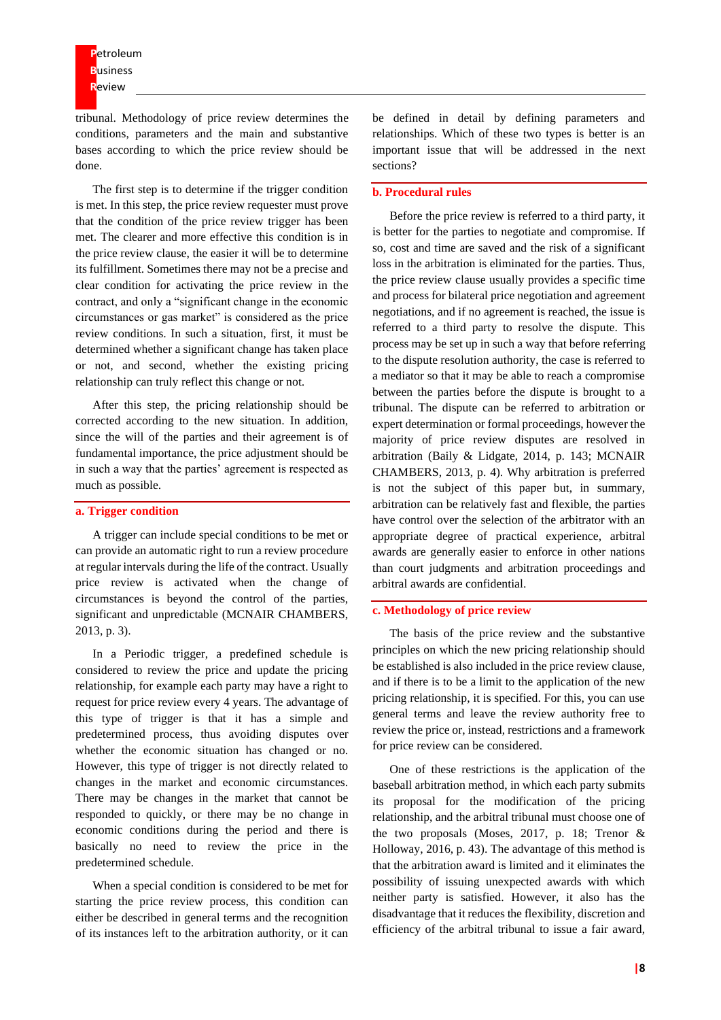**P**etroleum **B**usiness **R**eview

tribunal. Methodology of price review determines the conditions, parameters and the main and substantive bases according to which the price review should be done.

The first step is to determine if the trigger condition is met. In this step, the price review requester must prove that the condition of the price review trigger has been met. The clearer and more effective this condition is in the price review clause, the easier it will be to determine its fulfillment. Sometimes there may not be a precise and clear condition for activating the price review in the contract, and only a "significant change in the economic circumstances or gas market" is considered as the price review conditions. In such a situation, first, it must be determined whether a significant change has taken place or not, and second, whether the existing pricing relationship can truly reflect this change or not.

After this step, the pricing relationship should be corrected according to the new situation. In addition, since the will of the parties and their agreement is of fundamental importance, the price adjustment should be in such a way that the parties' agreement is respected as much as possible.

#### **a. Trigger condition**

A trigger can include special conditions to be met or can provide an automatic right to run a review procedure at regular intervals during the life of the contract. Usually price review is activated when the change of circumstances is beyond the control of the parties, significant and unpredictable (MCNAIR CHAMBERS, 2013, p. 3).

In a Periodic trigger, a predefined schedule is considered to review the price and update the pricing relationship, for example each party may have a right to request for price review every 4 years. The advantage of this type of trigger is that it has a simple and predetermined process, thus avoiding disputes over whether the economic situation has changed or no. However, this type of trigger is not directly related to changes in the market and economic circumstances. There may be changes in the market that cannot be responded to quickly, or there may be no change in economic conditions during the period and there is basically no need to review the price in the predetermined schedule.

When a special condition is considered to be met for starting the price review process, this condition can either be described in general terms and the recognition of its instances left to the arbitration authority, or it can

be defined in detail by defining parameters and relationships. Which of these two types is better is an important issue that will be addressed in the next sections?

#### **b. Procedural rules**

Before the price review is referred to a third party, it is better for the parties to negotiate and compromise. If so, cost and time are saved and the risk of a significant loss in the arbitration is eliminated for the parties. Thus, the price review clause usually provides a specific time and process for bilateral price negotiation and agreement negotiations, and if no agreement is reached, the issue is referred to a third party to resolve the dispute. This process may be set up in such a way that before referring to the dispute resolution authority, the case is referred to a mediator so that it may be able to reach a compromise between the parties before the dispute is brought to a tribunal. The dispute can be referred to arbitration or expert determination or formal proceedings, however the majority of price review disputes are resolved in arbitration (Baily & Lidgate, 2014, p. 143; MCNAIR CHAMBERS, 2013, p. 4). Why arbitration is preferred is not the subject of this paper but, in summary, arbitration can be relatively fast and flexible, the parties have control over the selection of the arbitrator with an appropriate degree of practical experience, arbitral awards are generally easier to enforce in other nations than court judgments and arbitration proceedings and arbitral awards are confidential.

#### **c. Methodology of price review**

The basis of the price review and the substantive principles on which the new pricing relationship should be established is also included in the price review clause, and if there is to be a limit to the application of the new pricing relationship, it is specified. For this, you can use general terms and leave the review authority free to review the price or, instead, restrictions and a framework for price review can be considered.

One of these restrictions is the application of the baseball arbitration method, in which each party submits its proposal for the modification of the pricing relationship, and the arbitral tribunal must choose one of the two proposals (Moses, 2017, p. 18; Trenor & Holloway, 2016, p. 43). The advantage of this method is that the arbitration award is limited and it eliminates the possibility of issuing unexpected awards with which neither party is satisfied. However, it also has the disadvantage that it reduces the flexibility, discretion and efficiency of the arbitral tribunal to issue a fair award,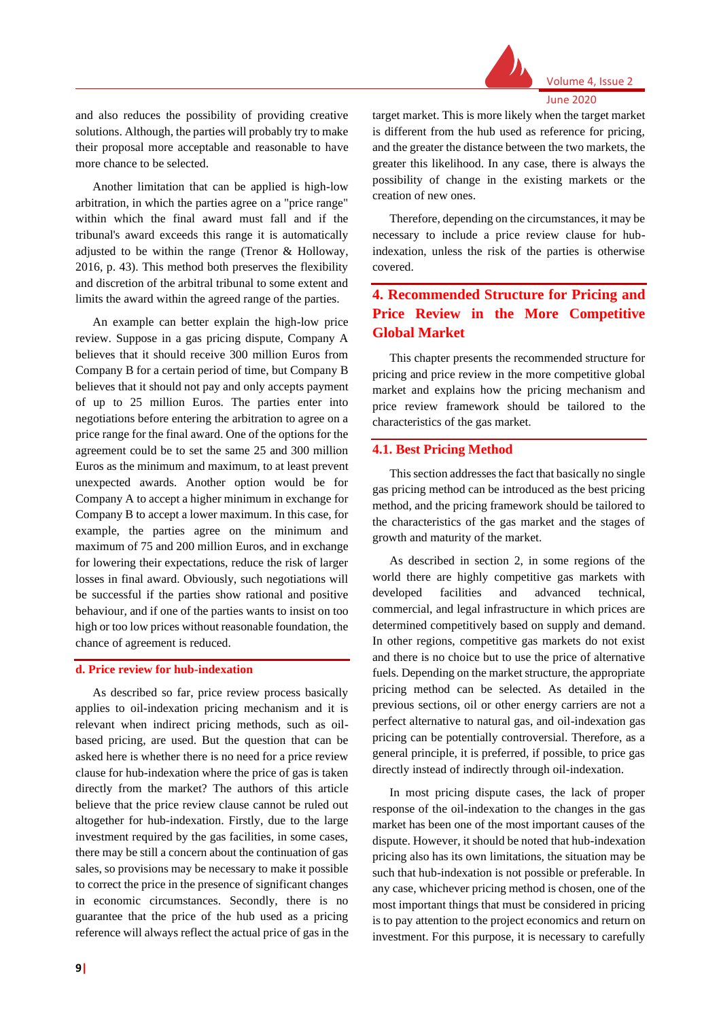

June 2020

and also reduces the possibility of providing creative solutions. Although, the parties will probably try to make their proposal more acceptable and reasonable to have more chance to be selected.

Another limitation that can be applied is high-low arbitration, in which the parties agree on a "price range" within which the final award must fall and if the tribunal's award exceeds this range it is automatically adjusted to be within the range (Trenor & Holloway, 2016, p. 43). This method both preserves the flexibility and discretion of the arbitral tribunal to some extent and limits the award within the agreed range of the parties.

An example can better explain the high-low price review. Suppose in a gas pricing dispute, Company A believes that it should receive 300 million Euros from Company B for a certain period of time, but Company B believes that it should not pay and only accepts payment of up to 25 million Euros. The parties enter into negotiations before entering the arbitration to agree on a price range for the final award. One of the options for the agreement could be to set the same 25 and 300 million Euros as the minimum and maximum, to at least prevent unexpected awards. Another option would be for Company A to accept a higher minimum in exchange for Company B to accept a lower maximum. In this case, for example, the parties agree on the minimum and maximum of 75 and 200 million Euros, and in exchange for lowering their expectations, reduce the risk of larger losses in final award. Obviously, such negotiations will be successful if the parties show rational and positive behaviour, and if one of the parties wants to insist on too high or too low prices without reasonable foundation, the chance of agreement is reduced.

#### **d. Price review for hub-indexation**

As described so far, price review process basically applies to oil-indexation pricing mechanism and it is relevant when indirect pricing methods, such as oilbased pricing, are used. But the question that can be asked here is whether there is no need for a price review clause for hub-indexation where the price of gas is taken directly from the market? The authors of this article believe that the price review clause cannot be ruled out altogether for hub-indexation. Firstly, due to the large investment required by the gas facilities, in some cases, there may be still a concern about the continuation of gas sales, so provisions may be necessary to make it possible to correct the price in the presence of significant changes in economic circumstances. Secondly, there is no guarantee that the price of the hub used as a pricing reference will always reflect the actual price of gas in the

target market. This is more likely when the target market is different from the hub used as reference for pricing, and the greater the distance between the two markets, the greater this likelihood. In any case, there is always the possibility of change in the existing markets or the creation of new ones.

Therefore, depending on the circumstances, it may be necessary to include a price review clause for hubindexation, unless the risk of the parties is otherwise covered.

## **4. Recommended Structure for Pricing and Price Review in the More Competitive Global Market**

This chapter presents the recommended structure for pricing and price review in the more competitive global market and explains how the pricing mechanism and price review framework should be tailored to the characteristics of the gas market.

#### **4.1. Best Pricing Method**

This section addresses the fact that basically no single gas pricing method can be introduced as the best pricing method, and the pricing framework should be tailored to the characteristics of the gas market and the stages of growth and maturity of the market.

As described in section 2, in some regions of the world there are highly competitive gas markets with developed facilities and advanced technical, commercial, and legal infrastructure in which prices are determined competitively based on supply and demand. In other regions, competitive gas markets do not exist and there is no choice but to use the price of alternative fuels. Depending on the market structure, the appropriate pricing method can be selected. As detailed in the previous sections, oil or other energy carriers are not a perfect alternative to natural gas, and oil-indexation gas pricing can be potentially controversial. Therefore, as a general principle, it is preferred, if possible, to price gas directly instead of indirectly through oil-indexation.

In most pricing dispute cases, the lack of proper response of the oil-indexation to the changes in the gas market has been one of the most important causes of the dispute. However, it should be noted that hub-indexation pricing also has its own limitations, the situation may be such that hub-indexation is not possible or preferable. In any case, whichever pricing method is chosen, one of the most important things that must be considered in pricing is to pay attention to the project economics and return on investment. For this purpose, it is necessary to carefully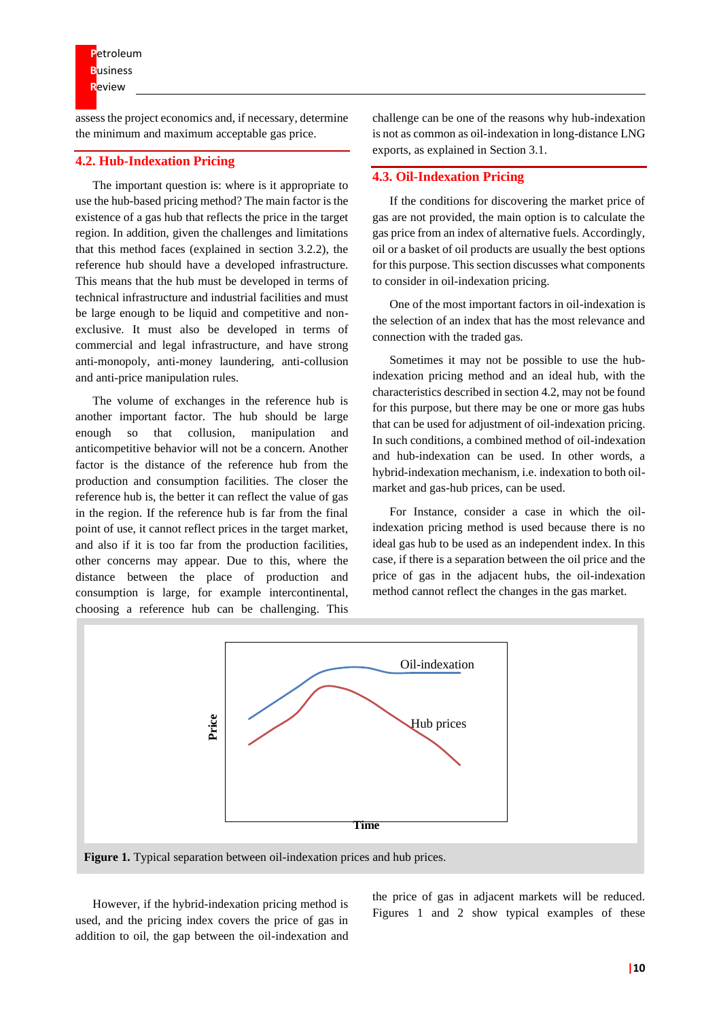assess the project economics and, if necessary, determine the minimum and maximum acceptable gas price.

#### **4.2. Hub-Indexation Pricing**

The important question is: where is it appropriate to use the hub-based pricing method? The main factor is the existence of a gas hub that reflects the price in the target region. In addition, given the challenges and limitations that this method faces (explained in section 3.2.2), the reference hub should have a developed infrastructure. This means that the hub must be developed in terms of technical infrastructure and industrial facilities and must be large enough to be liquid and competitive and nonexclusive. It must also be developed in terms of commercial and legal infrastructure, and have strong anti-monopoly, anti-money laundering, anti-collusion and anti-price manipulation rules.

The volume of exchanges in the reference hub is another important factor. The hub should be large enough so that collusion, manipulation and anticompetitive behavior will not be a concern. Another factor is the distance of the reference hub from the production and consumption facilities. The closer the reference hub is, the better it can reflect the value of gas in the region. If the reference hub is far from the final point of use, it cannot reflect prices in the target market, and also if it is too far from the production facilities, other concerns may appear. Due to this, where the distance between the place of production and consumption is large, for example intercontinental, choosing a reference hub can be challenging. This

challenge can be one of the reasons why hub-indexation is not as common as oil-indexation in long-distance LNG exports, as explained in Section 3.1.

#### **4.3. Oil-Indexation Pricing**

If the conditions for discovering the market price of gas are not provided, the main option is to calculate the gas price from an index of alternative fuels. Accordingly, oil or a basket of oil products are usually the best options for this purpose. This section discusses what components to consider in oil-indexation pricing.

One of the most important factors in oil-indexation is the selection of an index that has the most relevance and connection with the traded gas.

Sometimes it may not be possible to use the hubindexation pricing method and an ideal hub, with the characteristics described in section 4.2, may not be found for this purpose, but there may be one or more gas hubs that can be used for adjustment of oil-indexation pricing. In such conditions, a combined method of oil-indexation and hub-indexation can be used. In other words, a hybrid-indexation mechanism, i.e. indexation to both oilmarket and gas-hub prices, can be used.

For Instance, consider a case in which the oilindexation pricing method is used because there is no ideal gas hub to be used as an independent index. In this case, if there is a separation between the oil price and the price of gas in the adjacent hubs, the oil-indexation method cannot reflect the changes in the gas market.



However, if the hybrid-indexation pricing method is used, and the pricing index covers the price of gas in addition to oil, the gap between the oil-indexation and the price of gas in adjacent markets will be reduced. Figures 1 and 2 show typical examples of these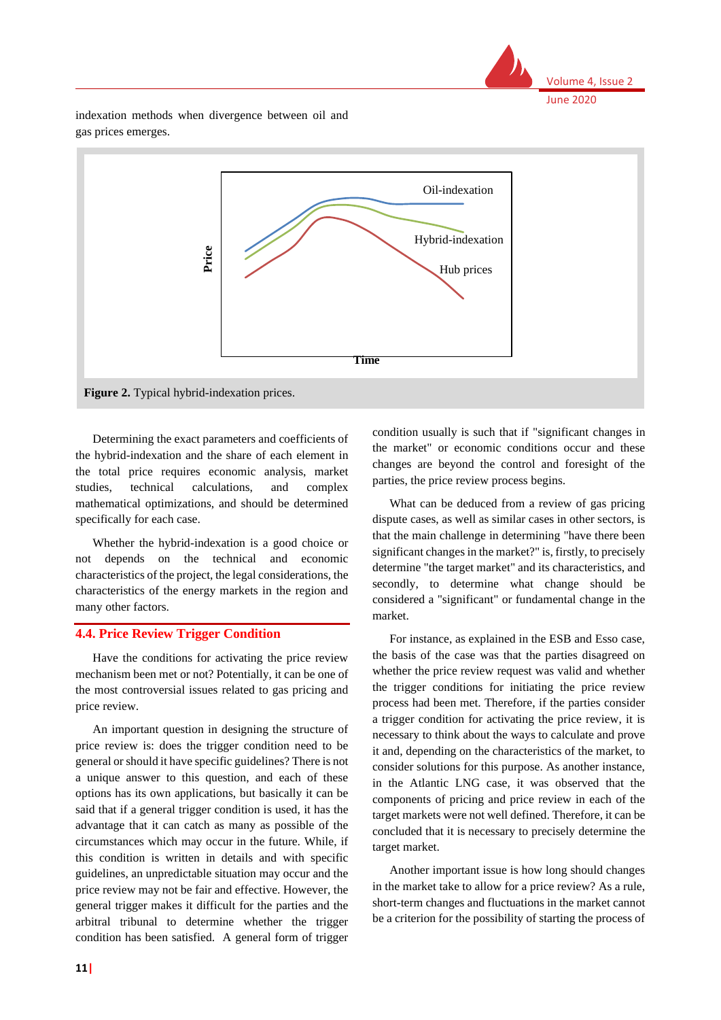

indexation methods when divergence between oil and gas prices emerges.



Determining the exact parameters and coefficients of the hybrid-indexation and the share of each element in the total price requires economic analysis, market studies, technical calculations, and complex mathematical optimizations, and should be determined specifically for each case.

Whether the hybrid-indexation is a good choice or not depends on the technical and economic characteristics of the project, the legal considerations, the characteristics of the energy markets in the region and many other factors.

## **4.4. Price Review Trigger Condition**

Have the conditions for activating the price review mechanism been met or not? Potentially, it can be one of the most controversial issues related to gas pricing and price review.

An important question in designing the structure of price review is: does the trigger condition need to be general or should it have specific guidelines? There is not a unique answer to this question, and each of these options has its own applications, but basically it can be said that if a general trigger condition is used, it has the advantage that it can catch as many as possible of the circumstances which may occur in the future. While, if this condition is written in details and with specific guidelines, an unpredictable situation may occur and the price review may not be fair and effective. However, the general trigger makes it difficult for the parties and the arbitral tribunal to determine whether the trigger condition has been satisfied. A general form of trigger

condition usually is such that if "significant changes in the market" or economic conditions occur and these changes are beyond the control and foresight of the parties, the price review process begins.

What can be deduced from a review of gas pricing dispute cases, as well as similar cases in other sectors, is that the main challenge in determining "have there been significant changes in the market?" is, firstly, to precisely determine "the target market" and its characteristics, and secondly, to determine what change should be considered a "significant" or fundamental change in the market.

For instance, as explained in the ESB and Esso case, the basis of the case was that the parties disagreed on whether the price review request was valid and whether the trigger conditions for initiating the price review process had been met. Therefore, if the parties consider a trigger condition for activating the price review, it is necessary to think about the ways to calculate and prove it and, depending on the characteristics of the market, to consider solutions for this purpose. As another instance, in the Atlantic LNG case, it was observed that the components of pricing and price review in each of the target markets were not well defined. Therefore, it can be concluded that it is necessary to precisely determine the target market.

Another important issue is how long should changes in the market take to allow for a price review? As a rule, short-term changes and fluctuations in the market cannot be a criterion for the possibility of starting the process of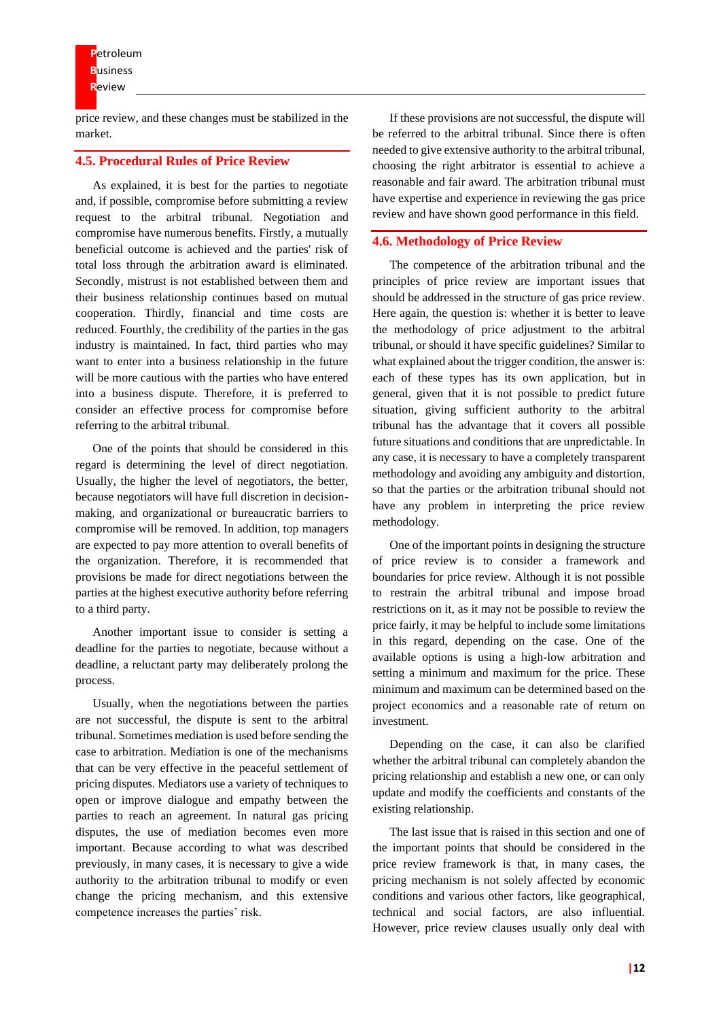price review, and these changes must be stabilized in the market.

#### **4.5. Procedural Rules of Price Review**

As explained, it is best for the parties to negotiate and, if possible, compromise before submitting a review request to the arbitral tribunal. Negotiation and compromise have numerous benefits. Firstly, a mutually beneficial outcome is achieved and the parties' risk of total loss through the arbitration award is eliminated. Secondly, mistrust is not established between them and their business relationship continues based on mutual cooperation. Thirdly, financial and time costs are reduced. Fourthly, the credibility of the parties in the gas industry is maintained. In fact, third parties who may want to enter into a business relationship in the future will be more cautious with the parties who have entered into a business dispute. Therefore, it is preferred to consider an effective process for compromise before referring to the arbitral tribunal.

One of the points that should be considered in this regard is determining the level of direct negotiation. Usually, the higher the level of negotiators, the better, because negotiators will have full discretion in decisionmaking, and organizational or bureaucratic barriers to compromise will be removed. In addition, top managers are expected to pay more attention to overall benefits of the organization. Therefore, it is recommended that provisions be made for direct negotiations between the parties at the highest executive authority before referring to a third party.

Another important issue to consider is setting a deadline for the parties to negotiate, because without a deadline, a reluctant party may deliberately prolong the process.

Usually, when the negotiations between the parties are not successful, the dispute is sent to the arbitral tribunal. Sometimes mediation is used before sending the case to arbitration. Mediation is one of the mechanisms that can be very effective in the peaceful settlement of pricing disputes. Mediators use a variety of techniques to open or improve dialogue and empathy between the parties to reach an agreement. In natural gas pricing disputes, the use of mediation becomes even more important. Because according to what was described previously, in many cases, it is necessary to give a wide authority to the arbitration tribunal to modify or even change the pricing mechanism, and this extensive competence increases the parties' risk.

If these provisions are not successful, the dispute will be referred to the arbitral tribunal. Since there is often needed to give extensive authority to the arbitral tribunal, choosing the right arbitrator is essential to achieve a reasonable and fair award. The arbitration tribunal must have expertise and experience in reviewing the gas price review and have shown good performance in this field.

#### **4.6. Methodology of Price Review**

The competence of the arbitration tribunal and the principles of price review are important issues that should be addressed in the structure of gas price review. Here again, the question is: whether it is better to leave the methodology of price adjustment to the arbitral tribunal, or should it have specific guidelines? Similar to what explained about the trigger condition, the answer is: each of these types has its own application, but in general, given that it is not possible to predict future situation, giving sufficient authority to the arbitral tribunal has the advantage that it covers all possible future situations and conditions that are unpredictable. In any case, it is necessary to have a completely transparent methodology and avoiding any ambiguity and distortion, so that the parties or the arbitration tribunal should not have any problem in interpreting the price review methodology.

One of the important points in designing the structure of price review is to consider a framework and boundaries for price review. Although it is not possible to restrain the arbitral tribunal and impose broad restrictions on it, as it may not be possible to review the price fairly, it may be helpful to include some limitations in this regard, depending on the case. One of the available options is using a high-low arbitration and setting a minimum and maximum for the price. These minimum and maximum can be determined based on the project economics and a reasonable rate of return on investment.

Depending on the case, it can also be clarified whether the arbitral tribunal can completely abandon the pricing relationship and establish a new one, or can only update and modify the coefficients and constants of the existing relationship.

The last issue that is raised in this section and one of the important points that should be considered in the price review framework is that, in many cases, the pricing mechanism is not solely affected by economic conditions and various other factors, like geographical, technical and social factors, are also influential. However, price review clauses usually only deal with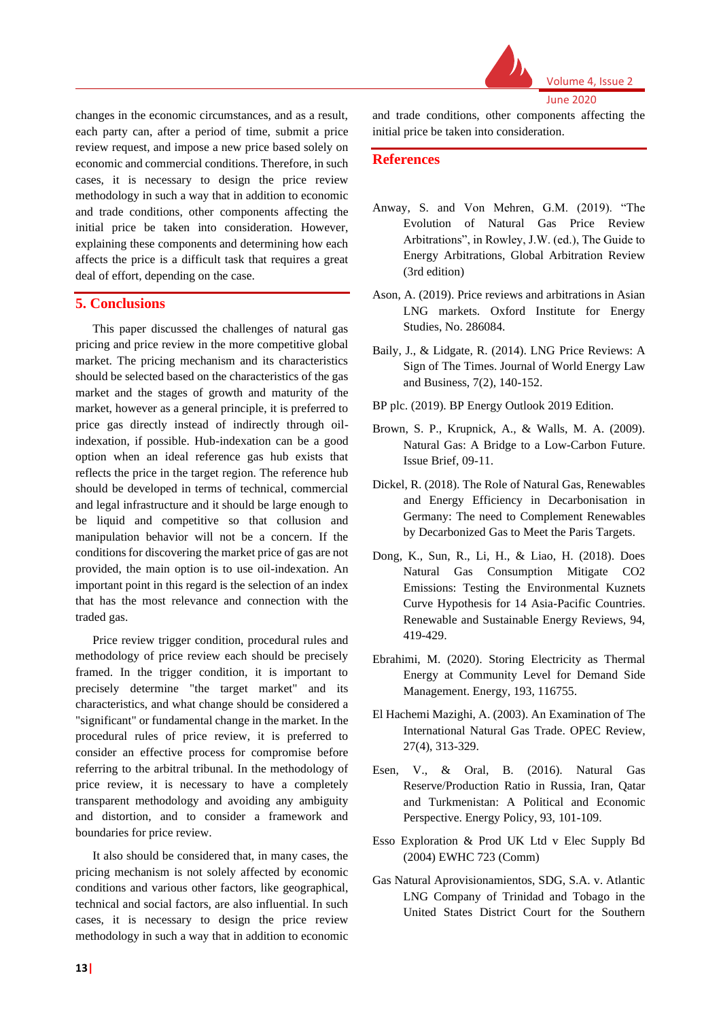

changes in the economic circumstances, and as a result, each party can, after a period of time, submit a price review request, and impose a new price based solely on economic and commercial conditions. Therefore, in such cases, it is necessary to design the price review methodology in such a way that in addition to economic and trade conditions, other components affecting the initial price be taken into consideration. However, explaining these components and determining how each affects the price is a difficult task that requires a great deal of effort, depending on the case.

### **5. Conclusions**

This paper discussed the challenges of natural gas pricing and price review in the more competitive global market. The pricing mechanism and its characteristics should be selected based on the characteristics of the gas market and the stages of growth and maturity of the market, however as a general principle, it is preferred to price gas directly instead of indirectly through oilindexation, if possible. Hub-indexation can be a good option when an ideal reference gas hub exists that reflects the price in the target region. The reference hub should be developed in terms of technical, commercial and legal infrastructure and it should be large enough to be liquid and competitive so that collusion and manipulation behavior will not be a concern. If the conditions for discovering the market price of gas are not provided, the main option is to use oil-indexation. An important point in this regard is the selection of an index that has the most relevance and connection with the traded gas.

Price review trigger condition, procedural rules and methodology of price review each should be precisely framed. In the trigger condition, it is important to precisely determine "the target market" and its characteristics, and what change should be considered a "significant" or fundamental change in the market. In the procedural rules of price review, it is preferred to consider an effective process for compromise before referring to the arbitral tribunal. In the methodology of price review, it is necessary to have a completely transparent methodology and avoiding any ambiguity and distortion, and to consider a framework and boundaries for price review.

It also should be considered that, in many cases, the pricing mechanism is not solely affected by economic conditions and various other factors, like geographical, technical and social factors, are also influential. In such cases, it is necessary to design the price review methodology in such a way that in addition to economic

and trade conditions, other components affecting the initial price be taken into consideration.

## **References**

- Anway, S. and Von Mehren, G.M. (2019). "The Evolution of Natural Gas Price Review Arbitrations", in Rowley, J.W. (ed.), The Guide to Energy Arbitrations, Global Arbitration Review (3rd edition)
- Ason, A. (2019). Price reviews and arbitrations in Asian LNG markets. Oxford Institute for Energy Studies, No. 286084.
- Baily, J., & Lidgate, R. (2014). LNG Price Reviews: A Sign of The Times. Journal of World Energy Law and Business, 7(2), 140-152.
- BP plc. (2019). BP Energy Outlook 2019 Edition.
- Brown, S. P., Krupnick, A., & Walls, M. A. (2009). Natural Gas: A Bridge to a Low-Carbon Future. Issue Brief, 09-11.
- Dickel, R. (2018). The Role of Natural Gas, Renewables and Energy Efficiency in Decarbonisation in Germany: The need to Complement Renewables by Decarbonized Gas to Meet the Paris Targets.
- Dong, K., Sun, R., Li, H., & Liao, H. (2018). Does Natural Gas Consumption Mitigate CO2 Emissions: Testing the Environmental Kuznets Curve Hypothesis for 14 Asia-Pacific Countries. Renewable and Sustainable Energy Reviews, 94, 419-429.
- Ebrahimi, M. (2020). Storing Electricity as Thermal Energy at Community Level for Demand Side Management. Energy, 193, 116755.
- El Hachemi Mazighi, A. (2003). An Examination of The International Natural Gas Trade. OPEC Review, 27(4), 313-329.
- Esen, V., & Oral, B. (2016). Natural Gas Reserve/Production Ratio in Russia, Iran, Qatar and Turkmenistan: A Political and Economic Perspective. Energy Policy, 93, 101-109.
- Esso Exploration & Prod UK Ltd v Elec Supply Bd (2004) EWHC 723 (Comm)
- Gas Natural Aprovisionamientos, SDG, S.A. v. Atlantic LNG Company of Trinidad and Tobago in the United States District Court for the Southern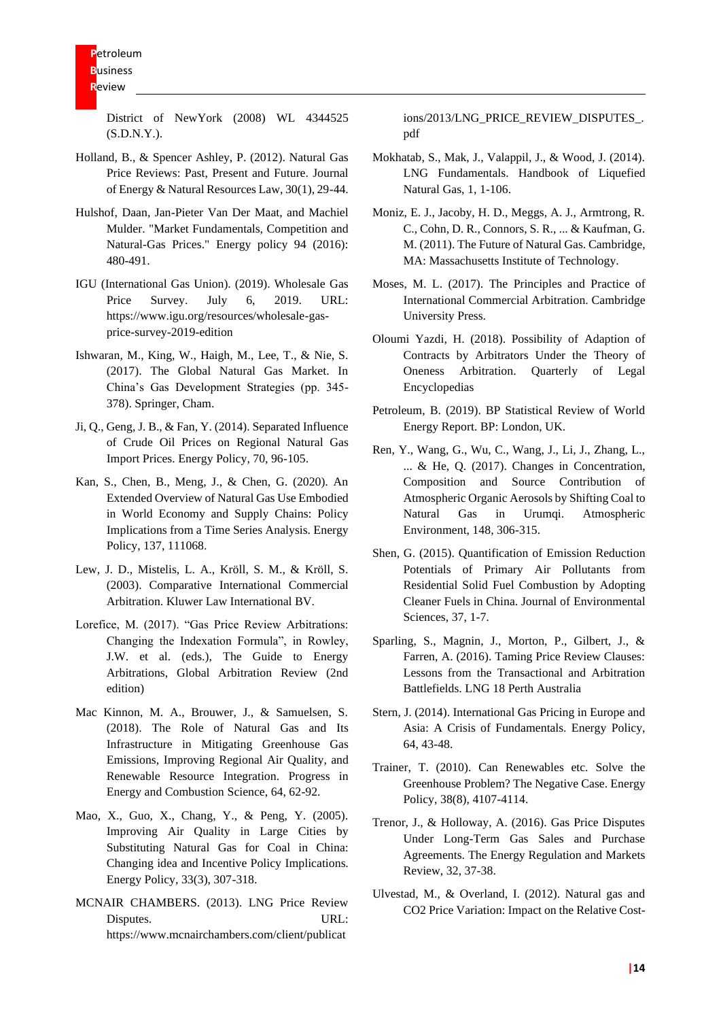District of NewYork (2008) WL 4344525 (S.D.N.Y.).

- Holland, B., & Spencer Ashley, P. (2012). Natural Gas Price Reviews: Past, Present and Future. Journal of Energy & Natural Resources Law, 30(1), 29-44.
- Hulshof, Daan, Jan-Pieter Van Der Maat, and Machiel Mulder. "Market Fundamentals, Competition and Natural-Gas Prices." Energy policy 94 (2016): 480-491.
- IGU (International Gas Union). (2019). Wholesale Gas Price Survey. July 6, 2019. URL: https://www.igu.org/resources/wholesale-gasprice-survey-2019-edition
- Ishwaran, M., King, W., Haigh, M., Lee, T., & Nie, S. (2017). The Global Natural Gas Market. In China's Gas Development Strategies (pp. 345- 378). Springer, Cham.
- Ji, Q., Geng, J. B., & Fan, Y. (2014). Separated Influence of Crude Oil Prices on Regional Natural Gas Import Prices. Energy Policy, 70, 96-105.
- Kan, S., Chen, B., Meng, J., & Chen, G. (2020). An Extended Overview of Natural Gas Use Embodied in World Economy and Supply Chains: Policy Implications from a Time Series Analysis. Energy Policy, 137, 111068.
- Lew, J. D., Mistelis, L. A., Kröll, S. M., & Kröll, S. (2003). Comparative International Commercial Arbitration. Kluwer Law International BV.
- Lorefice, M. (2017). "Gas Price Review Arbitrations: Changing the Indexation Formula", in Rowley, J.W. et al. (eds.), The Guide to Energy Arbitrations, Global Arbitration Review (2nd edition)
- Mac Kinnon, M. A., Brouwer, J., & Samuelsen, S. (2018). The Role of Natural Gas and Its Infrastructure in Mitigating Greenhouse Gas Emissions, Improving Regional Air Quality, and Renewable Resource Integration. Progress in Energy and Combustion Science, 64, 62-92.
- Mao, X., Guo, X., Chang, Y., & Peng, Y. (2005). Improving Air Quality in Large Cities by Substituting Natural Gas for Coal in China: Changing idea and Incentive Policy Implications. Energy Policy, 33(3), 307-318.
- MCNAIR CHAMBERS. (2013). LNG Price Review Disputes. URL: https://www.mcnairchambers.com/client/publicat

ions/2013/LNG\_PRICE\_REVIEW\_DISPUTES\_. pdf

- Mokhatab, S., Mak, J., Valappil, J., & Wood, J. (2014). LNG Fundamentals. Handbook of Liquefied Natural Gas, 1, 1-106.
- Moniz, E. J., Jacoby, H. D., Meggs, A. J., Armtrong, R. C., Cohn, D. R., Connors, S. R., ... & Kaufman, G. M. (2011). The Future of Natural Gas. Cambridge, MA: Massachusetts Institute of Technology.
- Moses, M. L. (2017). The Principles and Practice of International Commercial Arbitration. Cambridge University Press.
- Oloumi Yazdi, H. (2018). Possibility of Adaption of Contracts by Arbitrators Under the Theory of Oneness Arbitration. Quarterly of Legal Encyclopedias
- Petroleum, B. (2019). BP Statistical Review of World Energy Report. BP: London, UK.
- Ren, Y., Wang, G., Wu, C., Wang, J., Li, J., Zhang, L., ... & He, Q. (2017). Changes in Concentration, Composition and Source Contribution of Atmospheric Organic Aerosols by Shifting Coal to Natural Gas in Urumqi. Atmospheric Environment, 148, 306-315.
- Shen, G. (2015). Quantification of Emission Reduction Potentials of Primary Air Pollutants from Residential Solid Fuel Combustion by Adopting Cleaner Fuels in China. Journal of Environmental Sciences, 37, 1-7.
- Sparling, S., Magnin, J., Morton, P., Gilbert, J., & Farren, A. (2016). Taming Price Review Clauses: Lessons from the Transactional and Arbitration Battlefields. LNG 18 Perth Australia
- Stern, J. (2014). International Gas Pricing in Europe and Asia: A Crisis of Fundamentals. Energy Policy, 64, 43-48.
- Trainer, T. (2010). Can Renewables etc. Solve the Greenhouse Problem? The Negative Case. Energy Policy, 38(8), 4107-4114.
- Trenor, J., & Holloway, A. (2016). Gas Price Disputes Under Long-Term Gas Sales and Purchase Agreements. The Energy Regulation and Markets Review, 32, 37-38.
- Ulvestad, M., & Overland, I. (2012). Natural gas and CO2 Price Variation: Impact on the Relative Cost-